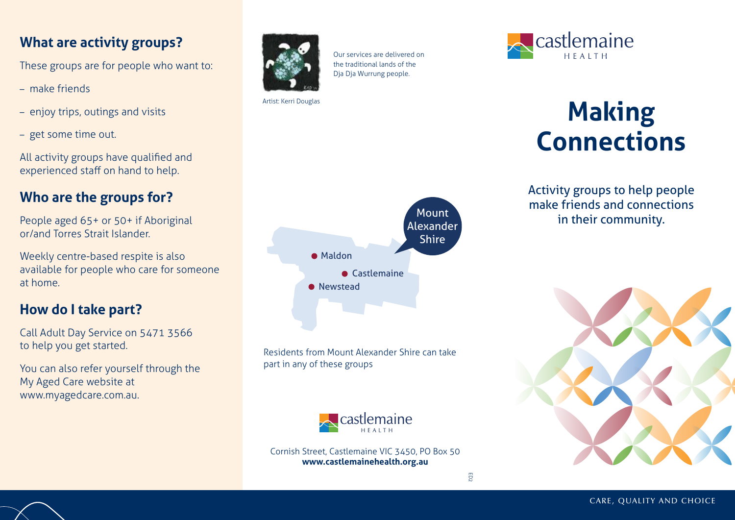### **What are activity groups?**

These groups are for people who want to:

- make friends
- enjoy trips, outings and visits
- get some time out.

All activity groups have qualified and experienced staff on hand to help.

#### **Who are the groups for?**

People aged 65+ or 50+ if Aboriginal or/and Torres Strait Islander.

Weekly centre-based respite is also available for people who care for someone at home.

#### **How do I take part?**

Call Adult Day Service on 5471 3566 to help you get started.

You can also refer yourself through the My Aged Care website at www.myagedcare.com.au.



Our services are delivered on the traditional lands of the Dja Dja Wurrung people.

Artist: Kerri Douglas



Residents from Mount Alexander Shire can take part in any of these groups



Cornish Street, Castlemaine VIC 3450, PO Box 50 **www.castlemainehealth.org.au**



# **Making Connections**

Activity groups to help people make friends and connections in their community.